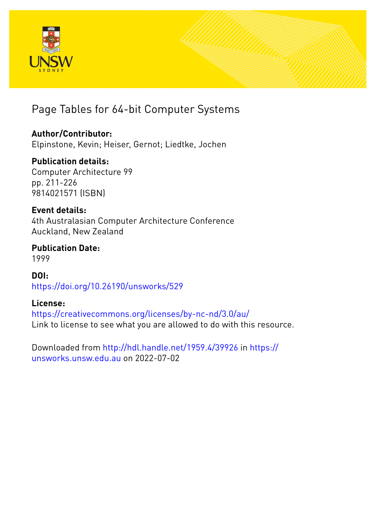

# Page Tables for 64-bit Computer Systems

## **Author/Contributor:**

Elpinstone, Kevin; Heiser, Gernot; Liedtke, Jochen

## **Publication details:**

Computer Architecture 99 pp. 211-226 9814021571 (ISBN)

### **Event details:**

4th Australasian Computer Architecture Conference Auckland, New Zealand

### **Publication Date:** 1999

# **DOI:** [https://doi.org/10.26190/unsworks/529](http://dx.doi.org/https://doi.org/10.26190/unsworks/529)

### **License:**

<https://creativecommons.org/licenses/by-nc-nd/3.0/au/> Link to license to see what you are allowed to do with this resource.

Downloaded from <http://hdl.handle.net/1959.4/39926> in [https://](https://unsworks.unsw.edu.au) [unsworks.unsw.edu.au](https://unsworks.unsw.edu.au) on 2022-07-02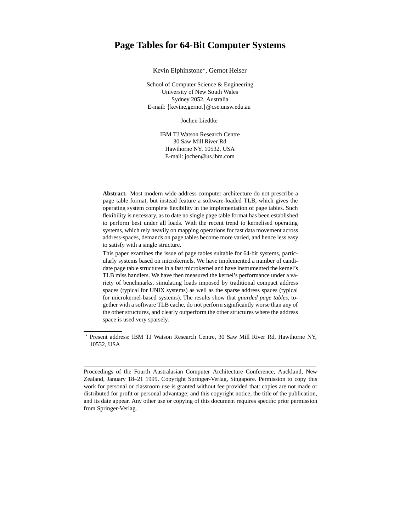### **Page Tables for 64-Bit Computer Systems**

Kevin Elphinstone , Gernot Heiser

School of Computer Science & Engineering University of New South Wales Sydney 2052, Australia E-mail: {kevine,gernot}@cse.unsw.edu.au

Jochen Liedtke

IBM TJ Watson Research Centre 30 Saw Mill River Rd Hawthorne NY, 10532, USA E-mail: jochen@us.ibm.com

**Abstract.** Most modern wide-address computer architecture do not prescribe a page table format, but instead feature a software-loaded TLB, which gives the operating system complete flexibility in the implementation of page tables. Such flexibility is necessary, as to date no single page table format has been established to perform best under all loads. With the recent trend to kernelised operating systems, which rely heavily on mapping operations for fast data movement across address-spaces, demands on page tables become more varied, and hence less easy to satisfy with a single structure.

This paper examines the issue of page tables suitable for 64-bit systems, particularly systems based on microkernels. We have implemented a number of candidate page table structures in a fast microkernel and have instrumented the kernel's TLB miss handlers. We have then measured the kernel's performance under a variety of benchmarks, simulating loads imposed by traditional compact address spaces (typical for UNIX systems) as well as the sparse address spaces (typical for microkernel-based systems). The results show that *guarded page tables*, together with a software TLB cache, do not perform significantly worse than any of the other structures, and clearly outperform the other structures where the address space is used very sparsely.

Present address: IBM TJ Watson Research Centre, 30 Saw Mill River Rd, Hawthorne NY, 10532, USA

Proceedings of the Fourth Australasian Computer Architecture Conference, Auckland, New Zealand, January 18–21 1999. Copyright Springer-Verlag, Singapore. Permission to copy this work for personal or classroom use is granted without fee provided that: copies are not made or distributed for profit or personal advantage; and this copyright notice, the title of the publication, and its date appear. Any other use or copying of this document requires specific prior permission from Springer-Verlag.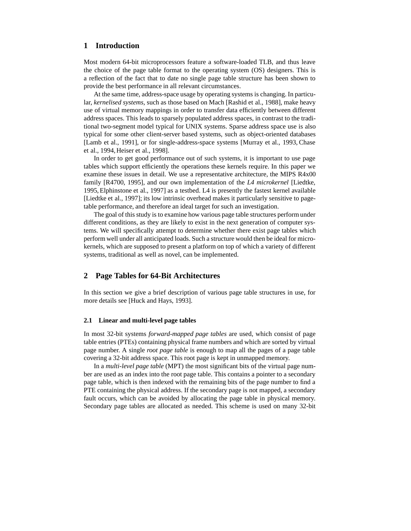#### **1 Introduction**

Most modern 64-bit microprocessors feature a software-loaded TLB, and thus leave the choice of the page table format to the operating system (OS) designers. This is a reflection of the fact that to date no single page table structure has been shown to provide the best performance in all relevant circumstances.

At the same time, address-space usage by operating systems is changing. In particular, *kernelised systems*, such as those based on Mach [Rashid et al., 1988], make heavy use of virtual memory mappings in order to transfer data efficiently between different address spaces. This leads to sparsely populated address spaces, in contrast to the traditional two-segment model typical for UNIX systems. Sparse address space use is also typical for some other client-server based systems, such as object-oriented databases [Lamb et al., 1991], or for single-address-space systems [Murray et al., 1993, Chase et al., 1994, Heiser et al., 1998].

In order to get good performance out of such systems, it is important to use page tables which support efficiently the operations these kernels require. In this paper we examine these issues in detail. We use a representative architecture, the MIPS R4x00 family [R4700, 1995], and our own implementation of the *L4 microkernel* [Liedtke, 1995, Elphinstone et al., 1997] as a testbed. L4 is presently the fastest kernel available [Liedtke et al., 1997]; its low intrinsic overhead makes it particularly sensitive to pagetable performance, and therefore an ideal target for such an investigation.

The goal of this study is to examine how various page table structures perform under different conditions, as they are likely to exist in the next generation of computer systems. We will specifically attempt to determine whether there exist page tables which perform well under all anticipated loads. Such a structure would then be ideal for microkernels, which are supposed to present a platform on top of which a variety of different systems, traditional as well as novel, can be implemented.

#### **2 Page Tables for 64-Bit Architectures**

In this section we give a brief description of various page table structures in use, for more details see [Huck and Hays, 1993].

#### **2.1 Linear and multi-level page tables**

In most 32-bit systems *forward-mapped page tables* are used, which consist of page table entries (PTEs) containing physical frame numbers and which are sorted by virtual page number. A single *root page table* is enough to map all the pages of a page table covering a 32-bit address space. This root page is kept in unmapped memory.

In a *multi-level page table* (MPT) the most significant bits of the virtual page number are used as an index into the root page table. This contains a pointer to a secondary page table, which is then indexed with the remaining bits of the page number to find a PTE containing the physical address. If the secondary page is not mapped, a secondary fault occurs, which can be avoided by allocating the page table in physical memory. Secondary page tables are allocated as needed. This scheme is used on many 32-bit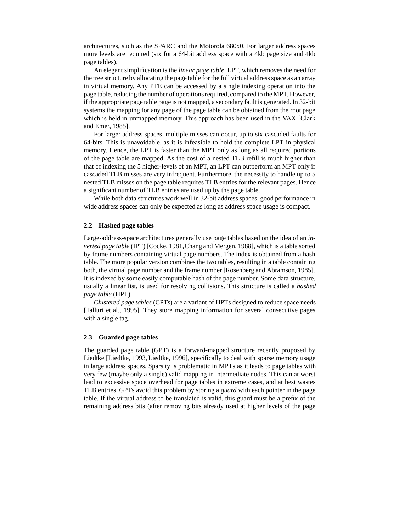architectures, such as the SPARC and the Motorola 680x0. For larger address spaces more levels are required (six for a 64-bit address space with a 4kb page size and 4kb page tables).

An elegant simplification is the *linear page table*, LPT, which removes the need for the tree structure by allocating the page table for the full virtual address space as an array in virtual memory. Any PTE can be accessed by a single indexing operation into the page table, reducing the number of operations required, compared to the MPT. However, if the appropriate page table page is not mapped, a secondary fault is generated. In 32-bit systems the mapping for any page of the page table can be obtained from the root page which is held in unmapped memory. This approach has been used in the VAX [Clark] and Emer, 1985].

For larger address spaces, multiple misses can occur, up to six cascaded faults for 64-bits. This is unavoidable, as it is infeasible to hold the complete LPT in physical memory. Hence, the LPT is faster than the MPT only as long as all required portions of the page table are mapped. As the cost of a nested TLB refill is much higher than that of indexing the 5 higher-levels of an MPT, an LPT can outperform an MPT only if cascaded TLB misses are very infrequent. Furthermore, the necessity to handle up to 5 nested TLB misses on the page table requires TLB entries for the relevant pages. Hence a significant number of TLB entries are used up by the page table.

While both data structures work well in 32-bit address spaces, good performance in wide address spaces can only be expected as long as address space usage is compact.

#### **2.2 Hashed page tables**

Large-address-space architectures generally use page tables based on the idea of an *inverted page table* (IPT) [Cocke, 1981,Chang and Mergen, 1988], which is a table sorted by frame numbers containing virtual page numbers. The index is obtained from a hash table. The more popular version combines the two tables, resulting in a table containing both, the virtual page number and the frame number [Rosenberg and Abramson, 1985]. It is indexed by some easily computable hash of the page number. Some data structure, usually a linear list, is used for resolving collisions. This structure is called a *hashed page table* (HPT).

*Clustered page tables* (CPTs) are a variant of HPTs designed to reduce space needs [Talluri et al., 1995]. They store mapping information for several consecutive pages with a single tag.

#### **2.3 Guarded page tables**

The guarded page table (GPT) is a forward-mapped structure recently proposed by Liedtke [Liedtke, 1993, Liedtke, 1996], specifically to deal with sparse memory usage in large address spaces. Sparsity is problematic in MPTs as it leads to page tables with very few (maybe only a single) valid mapping in intermediate nodes. This can at worst lead to excessive space overhead for page tables in extreme cases, and at best wastes TLB entries. GPTs avoid this problem by storing a *guard* with each pointer in the page table. If the virtual address to be translated is valid, this guard must be a prefix of the remaining address bits (after removing bits already used at higher levels of the page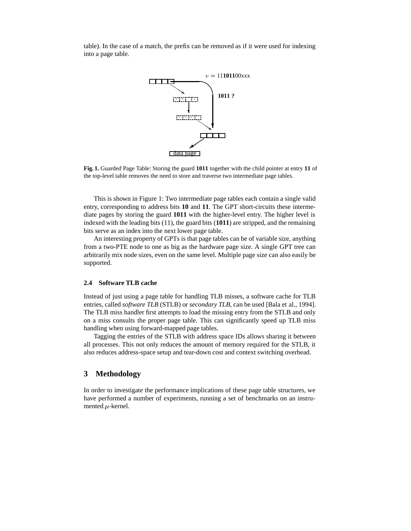table). In the case of a match, the prefix can be removed as if it were used for indexing into a page table.



**Fig. 1.** Guarded Page Table: Storing the guard **1011** together with the child pointer at entry **11** of the top-level table removes the need to store and traverse two intermediate page tables.

This is shown in Figure 1: Two intermediate page tables each contain a single valid entry, corresponding to address bits **10** and **11**. The GPT short-circuits these intermediate pages by storing the guard **1011** with the higher-level entry. The higher level is indexed with the leading bits (11), the guard bits (**1011**) are stripped, and the remaining bits serve as an index into the next lower page table.

An interesting property of GPTs is that page tables can be of variable size, anything from a two-PTE node to one as big as the hardware page size. A single GPT tree can arbitrarily mix node sizes, even on the same level. Multiple page size can also easily be supported.

#### **2.4 Software TLB cache**

Instead of just using a page table for handling TLB misses, a software cache for TLB entries, called *software TLB* (STLB) or *secondary TLB*, can be used [Bala et al., 1994]. The TLB miss handler first attempts to load the missing entry from the STLB and only on a miss consults the proper page table. This can significantly speed up TLB miss handling when using forward-mapped page tables.

Tagging the entries of the STLB with address space IDs allows sharing it between all processes. This not only reduces the amount of memory required for the STLB, it also reduces address-space setup and tear-down cost and context switching overhead.

#### **3 Methodology**

In order to investigate the performance implications of these page table structures, we have performed a number of experiments, running a set of benchmarks on an instrumented  $\mu$ -kernel.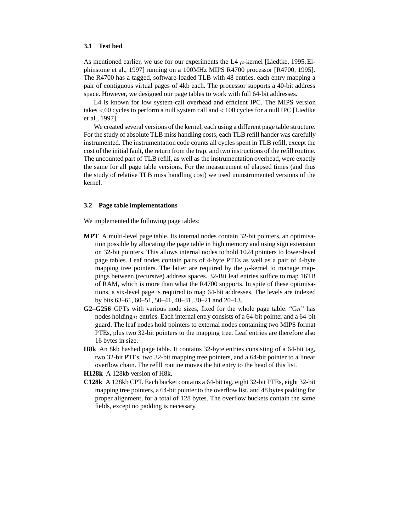#### **3.1 Test bed**

As mentioned earlier, we use for our experiments the L4  $\mu$ -kernel [Liedtke, 1995, Elphinstone et al., 1997] running on a 100MHz MIPS R4700 processor [R4700, 1995]. The R4700 has a tagged, software-loaded TLB with 48 entries, each entry mapping a pair of contiguous virtual pages of 4kb each. The processor supports a 40-bit address space. However, we designed our page tables to work with full 64-bit addresses.

L4 is known for low system-call overhead and efficient IPC. The MIPS version takes  $<$  60 cycles to perform a null system call and  $<$  100 cycles for a null IPC [Liedtke et al., 1997].

We created several versions of the kernel, each using a different page table structure. For the study of absolute TLB miss handling costs, each TLB refill hander was carefully instrumented. The instrumentation code counts all cycles spent in TLB refill, except the cost of the initial fault, the return from the trap, and two instructions of the refill routine. The uncounted part of TLB refill, as well as the instrumentation overhead, were exactly the same for all page table versions. For the measurement of elapsed times (and thus the study of relative TLB miss handling cost) we used uninstrumented versions of the kernel.

#### **3.2 Page table implementations**

We implemented the following page tables:

- **MPT** A multi-level page table. Its internal nodes contain 32-bit pointers, an optimisation possible by allocating the page table in high memory and using sign extension on 32-bit pointers. This allows internal nodes to hold 1024 pointers to lower-level page tables. Leaf nodes contain pairs of 4-byte PTEs as well as a pair of 4-byte mapping tree pointers. The latter are required by the  $\mu$ -kernel to manage mappings between (recursive) address spaces. 32-Bit leaf entries suffice to map 16TB of RAM, which is more than what the R4700 supports. In spite of these optimisations, a six-level page is required to map 64-bit addresses. The levels are indexed by bits 63–61, 60–51, 50–41, 40–31, 30–21 and 20–13.
- **G2–G256** GPTs with various node sizes, fixed for the whole page table. "Gn" has nodes holding <sup>n</sup> entries. Each internal entry consists of a 64-bit pointer and a 64-bit guard. The leaf nodes hold pointers to external nodes containing two MIPS format PTEs, plus two 32-bit pointers to the mapping tree. Leaf entries are therefore also 16 bytes in size.
- **H8k** An 8kb hashed page table. It contains 32-byte entries consisting of a 64-bit tag, two 32-bit PTEs, two 32-bit mapping tree pointers, and a 64-bit pointer to a linear overflow chain. The refill routine moves the hit entry to the head of this list.
- **H128k** A 128kb version of H8k.
- **C128k** A 128kb CPT. Each bucket contains a 64-bit tag, eight 32-bit PTEs, eight 32-bit mapping tree pointers, a 64-bit pointer to the overflow list, and 48 bytes padding for proper alignment, for a total of 128 bytes. The overflow buckets contain the same fields, except no padding is necessary.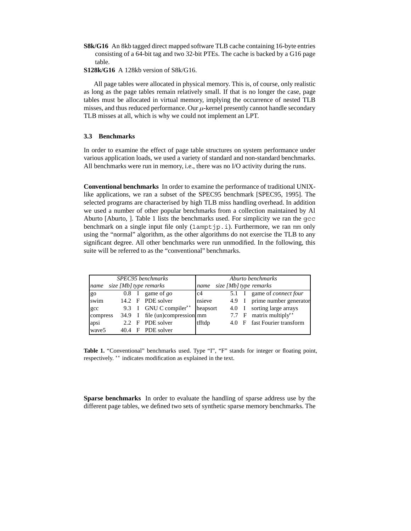- **S8k/G16** An 8kb tagged direct mapped software TLB cache containing 16-byte entries consisting of a 64-bit tag and two 32-bit PTEs. The cache is backed by a G16 page table.
- **S128k/G16** A 128kb version of S8k/G16.

All page tables were allocated in physical memory. This is, of course, only realistic as long as the page tables remain relatively small. If that is no longer the case, page tables must be allocated in virtual memory, implying the occurrence of nested TLB misses, and thus reduced performance. Our  $\mu$ -kernel presently cannot handle secondary TLB misses at all, which is why we could not implement an LPT.

#### **3.3 Benchmarks**

In order to examine the effect of page table structures on system performance under various application loads, we used a variety of standard and non-standard benchmarks. All benchmarks were run in memory, i.e., there was no I/O activity during the runs.

**Conventional benchmarks** In order to examine the performance of traditional UNIXlike applications, we ran a subset of the SPEC95 benchmark [SPEC95, 1995]. The selected programs are characterised by high TLB miss handling overhead. In addition we used a number of other popular benchmarks from a collection maintained by Al Aburto [Aburto, ]. Table 1 lists the benchmarks used. For simplicity we ran the gcc benchmark on a single input file only  $(1amptip.i)$ . Furthermore, we ran mm only using the "normal" algorithm, as the other algorithms do not exercise the TLB to any significant degree. All other benchmarks were run unmodified. In the following, this suite will be referred to as the "conventional" benchmarks.

| SPEC95 benchmarks              | Aburto benchmarks              |                                |          |  |       |  |       |                               |
|--------------------------------|--------------------------------|--------------------------------|----------|--|-------|--|-------|-------------------------------|
| size [Mb] type remarks<br>name | size [Mb] type remarks<br>name |                                |          |  |       |  |       |                               |
| go                             | $0.8 \quad I$                  | game of go                     | c4       |  |       |  | 5.1 I | game of <i>connect four</i>   |
| swim                           |                                | 14.2 F PDE solver              | nsieve   |  | 4.9 I |  |       | prime number generator        |
| $_{\rm gcc}$                   |                                | 9.3 I GNU C compiler**         | heapsort |  | 4.0 I |  |       | sorting large arrays          |
| compress                       |                                | 34.9 I file (un)compression mm |          |  |       |  | 7.7 F | matrix multiply <sup>**</sup> |
| apsi                           | $2.2$ F                        | PDE solver                     | tfftdp   |  |       |  | 4.0 F | fast Fourier transform        |
| wave <sub>5</sub>              |                                | 40.4 F PDE solver              |          |  |       |  |       |                               |

Table 1. "Conventional" benchmarks used. Type "I", "F" stands for integer or floating point, respectively. \*\* indicates modification as explained in the text.

**Sparse benchmarks** In order to evaluate the handling of sparse address use by the different page tables, we defined two sets of synthetic sparse memory benchmarks. The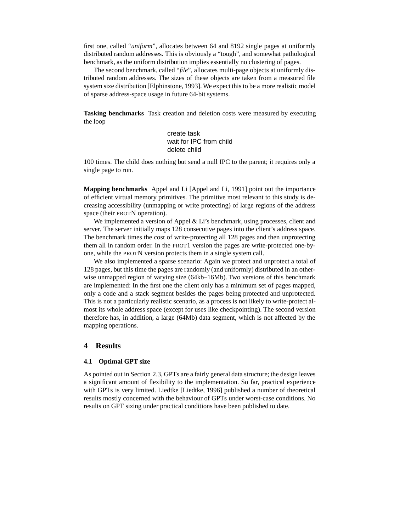first one, called "*uniform*", allocates between 64 and 8192 single pages at uniformly distributed random addresses. This is obviously a "tough", and somewhat pathological benchmark, as the uniform distribution implies essentially no clustering of pages.

The second benchmark, called "*file*", allocates multi-page objects at uniformly distributed random addresses. The sizes of these objects are taken from a measured file system size distribution [Elphinstone, 1993]. We expect this to be a more realistic model of sparse address-space usage in future 64-bit systems.

**Tasking benchmarks** Task creation and deletion costs were measured by executing the loop

> create task wait for IPC from child delete child

100 times. The child does nothing but send a null IPC to the parent; it requires only a single page to run.

**Mapping benchmarks** Appel and Li [Appel and Li, 1991] point out the importance of efficient virtual memory primitives. The primitive most relevant to this study is decreasing accessibility (unmapping or write protecting) of large regions of the address space (their PROTN operation).

We implemented a version of Appel & Li's benchmark, using processes, client and server. The server initially maps 128 consecutive pages into the client's address space. The benchmark times the cost of write-protecting all 128 pages and then unprotecting them all in random order. In the PROT1 version the pages are write-protected one-byone, while the PROTN version protects them in a single system call.

We also implemented a sparse scenario: Again we protect and unprotect a total of 128 pages, but this time the pages are randomly (and uniformly) distributed in an otherwise unmapped region of varying size (64kb–16Mb). Two versions of this benchmark are implemented: In the first one the client only has a minimum set of pages mapped, only a code and a stack segment besides the pages being protected and unprotected. This is not a particularly realistic scenario, as a process is not likely to write-protect almost its whole address space (except for uses like checkpointing). The second version therefore has, in addition, a large (64Mb) data segment, which is not affected by the mapping operations.

#### **4 Results**

#### **4.1 Optimal GPT size**

As pointed out in Section 2.3, GPTs are a fairly general data structure; the design leaves a significant amount of flexibility to the implementation. So far, practical experience with GPTs is very limited. Liedtke [Liedtke, 1996] published a number of theoretical results mostly concerned with the behaviour of GPTs under worst-case conditions. No results on GPT sizing under practical conditions have been published to date.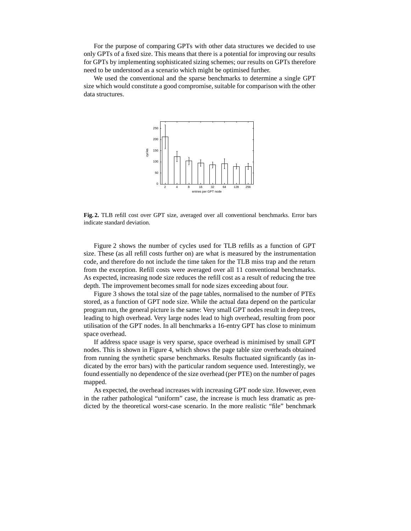For the purpose of comparing GPTs with other data structures we decided to use only GPTs of a fixed size. This means that there is a potential for improving our results for GPTs by implementing sophisticated sizing schemes; our results on GPTs therefore need to be understood as a scenario which might be optimised further.

We used the conventional and the sparse benchmarks to determine a single GPT size which would constitute a good compromise, suitable for comparison with the other data structures.



**Fig. 2.** TLB refill cost over GPT size, averaged over all conventional benchmarks. Error bars indicate standard deviation.

Figure 2 shows the number of cycles used for TLB refills as a function of GPT size. These (as all refill costs further on) are what is measured by the instrumentation code, and therefore do not include the time taken for the TLB miss trap and the return from the exception. Refill costs were averaged over all 11 conventional benchmarks. As expected, increasing node size reduces the refill cost as a result of reducing the tree depth. The improvement becomes small for node sizes exceeding about four.

Figure 3 shows the total size of the page tables, normalised to the number of PTEs stored, as a function of GPT node size. While the actual data depend on the particular program run, the general picture is the same: Very small GPT nodes result in deep trees, leading to high overhead. Very large nodes lead to high overhead, resulting from poor utilisation of the GPT nodes. In all benchmarks a 16-entry GPT has close to minimum space overhead.

If address space usage is very sparse, space overhead is minimised by small GPT nodes. This is shown in Figure 4, which shows the page table size overheads obtained from running the synthetic sparse benchmarks. Results fluctuated significantly (as indicated by the error bars) with the particular random sequence used. Interestingly, we found essentially no dependence of the size overhead (per PTE) on the number of pages mapped.

As expected, the overhead increases with increasing GPT node size. However, even in the rather pathological "uniform" case, the increase is much less dramatic as predicted by the theoretical worst-case scenario. In the more realistic "file" benchmark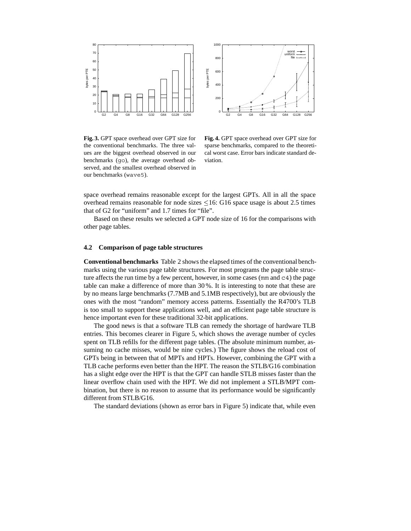



**Fig. 3.** GPT space overhead over GPT size for the conventional benchmarks. The three values are the biggest overhead observed in our benchmarks (go), the average overhead observed, and the smallest overhead observed in our benchmarks (wave5).

**Fig. 4.** GPT space overhead over GPT size for sparse benchmarks, compared to the theoretical worst case. Error bars indicate standard deviation.

space overhead remains reasonable except for the largest GPTs. All in all the space overhead remains reasonable for node sizes  $\leq 16$ : G16 space usage is about 2.5 times that of G2 for "uniform" and 1.7 times for "file".

Based on these results we selected a GPT node size of 16 for the comparisons with other page tables.

#### **4.2 Comparison of page table structures**

**Conventional benchmarks** Table 2 shows the elapsed times of the conventional benchmarks using the various page table structures. For most programs the page table structure affects the run time by a few percent, however, in some cases ( $mm$  and  $c4$ ) the page table can make a difference of more than 30 %. It is interesting to note that these are by no means large benchmarks (7.7MB and 5.1MB respectively), but are obviously the ones with the most "random" memory access patterns. Essentially the R4700's TLB is too small to support these applications well, and an efficient page table structure is hence important even for these traditional 32-bit applications.

The good news is that a software TLB can remedy the shortage of hardware TLB entries. This becomes clearer in Figure 5, which shows the average number of cycles spent on TLB refills for the different page tables. (The absolute minimum number, assuming no cache misses, would be nine cycles.) The figure shows the reload cost of GPTs being in between that of MPTs and HPTs. However, combining the GPT with a TLB cache performs even better than the HPT. The reason the STLB/G16 combination has a slight edge over the HPT is that the GPT can handle STLB misses faster than the linear overflow chain used with the HPT. We did not implement a STLB/MPT combination, but there is no reason to assume that its performance would be significantly different from STLB/G16.

The standard deviations (shown as error bars in Figure 5) indicate that, while even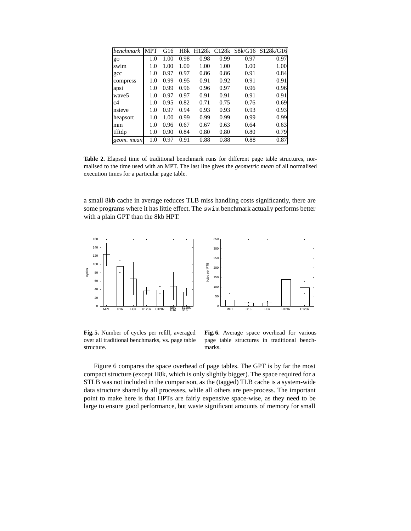| <i>benchmark</i>  | <b>MPT</b> | G16  | H8k  | H128k |      |      | C128k S8k/G16 S128k/G16 |
|-------------------|------------|------|------|-------|------|------|-------------------------|
| go                | 1.0        | 1.00 | 0.98 | 0.98  | 0.99 | 0.97 | 0.97                    |
| swim              | 1.0        | 1.00 | 1.00 | 1.00  | 1.00 | 1.00 | 1.00                    |
| gcc               | 1.0        | 0.97 | 0.97 | 0.86  | 0.86 | 0.91 | 0.84                    |
| compress          | 1.0        | 0.99 | 0.95 | 0.91  | 0.92 | 0.91 | 0.91                    |
| apsi              | 1.0        | 0.99 | 0.96 | 0.96  | 0.97 | 0.96 | 0.96                    |
| wave <sub>5</sub> | 1.0        | 0.97 | 0.97 | 0.91  | 0.91 | 0.91 | 0.91                    |
| c4                | 1.0        | 0.95 | 0.82 | 0.71  | 0.75 | 0.76 | 0.69                    |
| nsieve            | 1.0        | 0.97 | 0.94 | 0.93  | 0.93 | 0.93 | 0.93                    |
| heapsort          | 1.0        | 1.00 | 0.99 | 0.99  | 0.99 | 0.99 | 0.99                    |
| mm                | 1.0        | 0.96 | 0.67 | 0.67  | 0.63 | 0.64 | 0.63                    |
| tfftdp            | 1.0        | 0.90 | 0.84 | 0.80  | 0.80 | 0.80 | 0.79                    |
| geom. mean        | 1.0        | 0.97 | 0.91 | 0.88  | 0.88 | 0.88 | 0.87                    |

**Table 2.** Elapsed time of traditional benchmark runs for different page table structures, normalised to the time used with an MPT. The last line gives the *geometric mean* of all normalised execution times for a particular page table.

a small 8kb cache in average reduces TLB miss handling costs significantly, there are some programs where it has little effect. The swim benchmark actually performs better with a plain GPT than the 8kb HPT.



**Fig. 5.** Number of cycles per refill, averaged over all traditional benchmarks, vs. page table structure.

**Fig. 6.** Average space overhead for various page table structures in traditional benchmarks.

Figure 6 compares the space overhead of page tables. The GPT is by far the most compact structure (except H8k, which is only slightly bigger). The space required for a STLB was not included in the comparison, as the (tagged) TLB cache is a system-wide data structure shared by all processes, while all others are per-process. The important point to make here is that HPTs are fairly expensive space-wise, as they need to be large to ensure good performance, but waste significant amounts of memory for small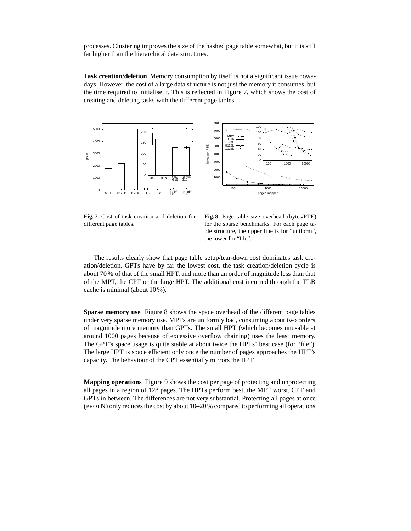processes. Clustering improves the size of the hashed page table somewhat, but it is still far higher than the hierarchical data structures.

**Task creation/deletion** Memory consumption by itself is not a significant issue nowadays. However, the cost of a large data structure is not just the memory it consumes, but the time required to initialise it. This is reflected in Figure 7, which shows the cost of creating and deleting tasks with the different page tables.



**Fig. 7.** Cost of task creation and deletion for different page tables.

**Fig. 8.** Page table size overhead (bytes/PTE) for the sparse benchmarks. For each page table structure, the upper line is for "uniform", the lower for "file".

The results clearly show that page table setup/tear-down cost dominates task creation/deletion. GPTs have by far the lowest cost, the task creation/deletion cycle is about 70 % of that of the small HPT, and more than an order of magnitude less than that of the MPT, the CPT or the large HPT. The additional cost incurred through the TLB cache is minimal (about 10 %).

**Sparse memory use** Figure 8 shows the space overhead of the different page tables under very sparse memory use. MPTs are uniformly bad, consuming about two orders of magnitude more memory than GPTs. The small HPT (which becomes unusable at around 1000 pages because of excessive overflow chaining) uses the least memory. The GPT's space usage is quite stable at about twice the HPTs' best case (for "file"). The large HPT is space efficient only once the number of pages approaches the HPT's capacity. The behaviour of the CPT essentially mirrors the HPT.

**Mapping operations** Figure 9 shows the cost per page of protecting and unprotecting all pages in a region of 128 pages. The HPTs perform best, the MPT worst, CPT and GPTs in between. The differences are not very substantial. Protecting all pages at once (PROTN) only reduces the cost by about 10–20% compared to performing all operations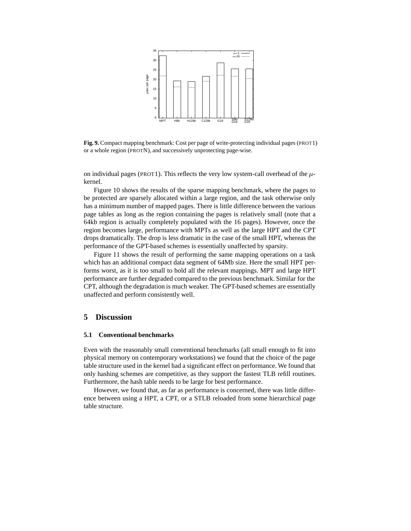

**Fig. 9.** Compact mapping benchmark: Cost per page of write-protecting individual pages (PROT1) or a whole region (PROTN), and successively unprotecting page-wise.

on individual pages (PROT1). This reflects the very low system-call overhead of the  $\mu$ kernel.

Figure 10 shows the results of the sparse mapping benchmark, where the pages to be protected are sparsely allocated within a large region, and the task otherwise only has a minimum number of mapped pages. There is little difference between the various page tables as long as the region containing the pages is relatively small (note that a 64kb region is actually completely populated with the 16 pages). However, once the region becomes large, performance with MPTs as well as the large HPT and the CPT drops dramatically. The drop is less dramatic in the case of the small HPT, whereas the performance of the GPT-based schemes is essentially unaffected by sparsity.

Figure 11 shows the result of performing the same mapping operations on a task which has an additional compact data segment of 64Mb size. Here the small HPT performs worst, as it is too small to hold all the relevant mappings. MPT and large HPT performance are further degraded compared to the previous benchmark. Similar for the CPT, although the degradation is much weaker. The GPT-based schemes are essentially unaffected and perform consistently well.

#### **5 Discussion**

#### **5.1 Conventional benchmarks**

Even with the reasonably small conventional benchmarks (all small enough to fit into physical memory on contemporary workstations) we found that the choice of the page table structure used in the kernel had a significant effect on performance. We found that only hashing schemes are competitive, as they support the fastest TLB refill routines. Furthermore, the hash table needs to be large for best performance.

However, we found that, as far as performance is concerned, there was little difference between using a HPT, a CPT, or a STLB reloaded from some hierarchical page table structure.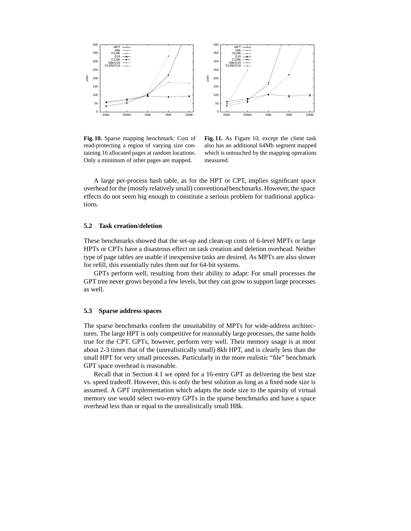

**Fig. 10.** Sparse mapping benchmark: Cost of read-protecting a region of varying size containing 16 allocated pages at random locations. Only a minimum of other pages are mapped.

**Fig. 11.** As Figure 10, except the client task also has an additional 64Mb segment mapped which is untouched by the mapping operations measured.

A large per-process hash table, as for the HPT or CPT, implies significant space overhead for the (mostly relatively small) conventional benchmarks. However, the space effects do not seem big enough to constitute a serious problem for traditional applications.

#### **5.2 Task creation/deletion**

These benchmarks showed that the set-up and clean-up costs of 6-level MPTs or large HPTs or CPTs have a disastrous effect on task creation and deletion overhead. Neither type of page tables are usable if inexpensive tasks are desired. As MPTs are also slower for refill, this essentially rules them out for 64-bit systems.

GPTs perform well, resulting from their ability to adapt: For small processes the GPT tree never grows beyond a few levels, but they can grow to support large processes as well.

#### **5.3 Sparse address spaces**

The sparse benchmarks confirm the unsuitability of MPTs for wide-address architectures. The large HPT is only competitive for reasonably large processes, the same holds true for the CPT. GPTs, however, perform very well. Their memory usage is at most about 2-3 times that of the (unrealistically small) 8kb HPT, and is clearly less than the small HPT for very small processes. Particularly in the more realistic "file" benchmark GPT space overhead is reasonable.

Recall that in Section 4.1 we opted for a 16-entry GPT as delivering the best size vs. speed tradeoff. However, this is only the best solution as long as a fixed node size is assumed. A GPT implementation which adapts the node size to the sparsity of virtual memory use would select two-entry GPTs in the sparse benchmarks and have a space overhead less than or equal to the unrealistically small H8k.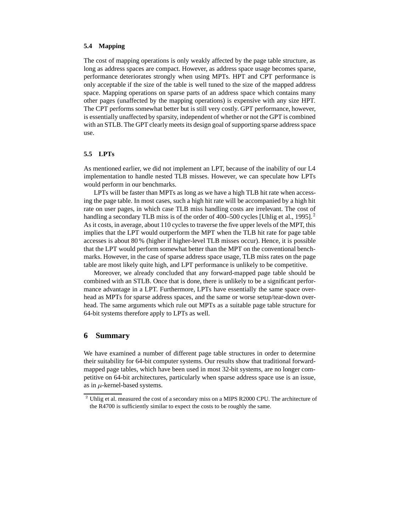#### **5.4 Mapping**

The cost of mapping operations is only weakly affected by the page table structure, as long as address spaces are compact. However, as address space usage becomes sparse, performance deteriorates strongly when using MPTs. HPT and CPT performance is only acceptable if the size of the table is well tuned to the size of the mapped address space. Mapping operations on sparse parts of an address space which contains many other pages (unaffected by the mapping operations) is expensive with any size HPT. The CPT performs somewhat better but is still very costly. GPT performance, however, is essentially unaffected by sparsity, independent of whether or not the GPT is combined with an STLB. The GPT clearly meets its design goal of supporting sparse address space use.

#### **5.5 LPTs**

As mentioned earlier, we did not implement an LPT, because of the inability of our L4 implementation to handle nested TLB misses. However, we can speculate how LPTs would perform in our benchmarks.

LPTs will be faster than MPTs as long as we have a high TLB hit rate when accessing the page table. In most cases, such a high hit rate will be accompanied by a high hit rate on user pages, in which case TLB miss handling costs are irrelevant. The cost of handling a secondary TLB miss is of the order of 400–500 cycles [Uhlig et al., 1995].<sup>2</sup> As it costs, in average, about 110 cycles to traverse the five upper levels of the MPT, this implies that the LPT would outperform the MPT when the TLB hit rate for page table accesses is about 80 % (higher if higher-level TLB misses occur). Hence, it is possible that the LPT would perform somewhat better than the MPT on the conventional benchmarks. However, in the case of sparse address space usage, TLB miss rates on the page table are most likely quite high, and LPT performance is unlikely to be competitive.

Moreover, we already concluded that any forward-mapped page table should be combined with an STLB. Once that is done, there is unlikely to be a significant performance advantage in a LPT. Furthermore, LPTs have essentially the same space overhead as MPTs for sparse address spaces, and the same or worse setup/tear-down overhead. The same arguments which rule out MPTs as a suitable page table structure for 64-bit systems therefore apply to LPTs as well.

#### **6 Summary**

We have examined a number of different page table structures in order to determine their suitability for 64-bit computer systems. Our results show that traditional forwardmapped page tables, which have been used in most 32-bit systems, are no longer competitive on 64-bit architectures, particularly when sparse address space use is an issue, as in  $\mu$ -kernel-based systems.

 $<sup>2</sup>$  Uhlig et al. measured the cost of a secondary miss on a MIPS R2000 CPU. The architecture of</sup> the R4700 is sufficiently similar to expect the costs to be roughly the same.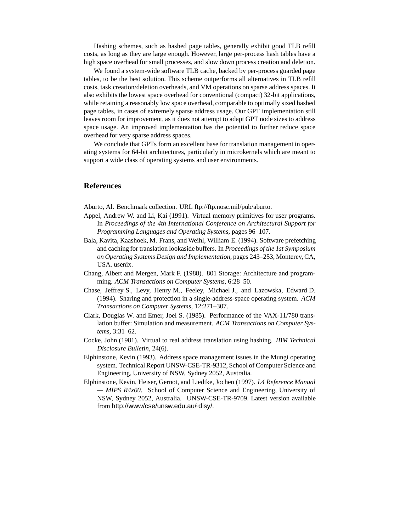Hashing schemes, such as hashed page tables, generally exhibit good TLB refill costs, as long as they are large enough. However, large per-process hash tables have a high space overhead for small processes, and slow down process creation and deletion.

We found a system-wide software TLB cache, backed by per-process guarded page tables, to be the best solution. This scheme outperforms all alternatives in TLB refill costs, task creation/deletion overheads, and VM operations on sparse address spaces. It also exhibits the lowest space overhead for conventional (compact) 32-bit applications, while retaining a reasonably low space overhead, comparable to optimally sized hashed page tables, in cases of extremely sparse address usage. Our GPT implementation still leaves room for improvement, as it does not attempt to adapt GPT node sizes to address space usage. An improved implementation has the potential to further reduce space overhead for very sparse address spaces.

We conclude that GPTs form an excellent base for translation management in operating systems for 64-bit architectures, particularly in microkernels which are meant to support a wide class of operating systems and user environments.

#### **References**

Aburto, Al. Benchmark collection. URL ftp://ftp.nosc.mil/pub/aburto.

- Appel, Andrew W. and Li, Kai (1991). Virtual memory primitives for user programs. In *Proceedings of the 4th International Conference on Architectural Support for Programming Languages and Operating Systems*, pages 96–107.
- Bala, Kavita, Kaashoek, M. Frans, and Weihl, William E. (1994). Software prefetching and caching for translation lookaside buffers. In *Proceedings of the 1st Symposium on Operating Systems Design and Implementation*, pages 243–253, Monterey, CA, USA. usenix.
- Chang, Albert and Mergen, Mark F. (1988). 801 Storage: Architecture and programming. *ACM Transactions on Computer Systems*, 6:28–50.
- Chase, Jeffrey S., Levy, Henry M., Feeley, Michael J., and Lazowska, Edward D. (1994). Sharing and protection in a single-address-space operating system. *ACM Transactions on Computer Systems*, 12:271–307.
- Clark, Douglas W. and Emer, Joel S. (1985). Performance of the VAX-11/780 translation buffer: Simulation and measurement. *ACM Transactions on Computer Systems*, 3:31–62.
- Cocke, John (1981). Virtual to real address translation using hashing. *IBM Technical Disclosure Bulletin*, 24(6).
- Elphinstone, Kevin (1993). Address space management issues in the Mungi operating system. Technical Report UNSW-CSE-TR-9312, School of Computer Science and Engineering, University of NSW, Sydney 2052, Australia.
- Elphinstone, Kevin, Heiser, Gernot, and Liedtke, Jochen (1997). *L4 Reference Manual — MIPS R4x00*. School of Computer Science and Engineering, University of NSW, Sydney 2052, Australia. UNSW-CSE-TR-9709. Latest version available from http://www/cse/unsw.edu.au/~disy/.